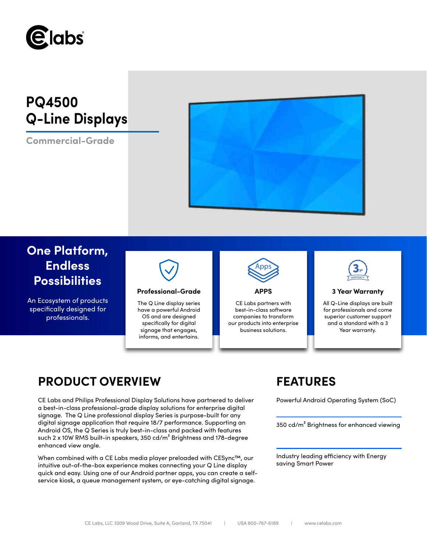

# **PQ4500 Q-Line Displays**

**Commercial-Grade**



## **One Platform, Endless Possibilities**

An Ecosystem of products specifically designed for professionals.



### **Professional-Grade APPS 3 Year Warranty**

The Q Line display series have a powerful Android OS and are designed specifically for digital signage that engages, informs, and entertains.



CE Labs partners with best-in-class software companies to transform our products into enterprise business solutions.



All Q-Line displays are built for professionals and come superior customer support and a standard with a 3 Year warranty.

## **PRODUCT OVERVIEW FEATURES**

CE Labs and Philips Professional Display Solutions have partnered to deliver Powerful Android Operating System (SoC) a best-in-class professional-grade display solutions for enterprise digital signage. The Q Line professional display Series is purpose-built for any digital signage application that require 18/7 performance. Supporting an Android OS, the Q Series is truly best-in-class and packed with features such 2 x 10W RMS built-in speakers, 350 cd/m<sup>2</sup> Brightness and 178-degree enhanced view angle.

When combined with a CE Labs media player preloaded with CESync™, our intuitive out-of-the-box experience makes connecting your Q Line display quick and easy. Using one of our Android partner apps, you can create a selfservice kiosk, a queue management system, or eye-catching digital signage.

350 cd/m² Brightness for enhanced viewing

Industry leading efficiency with Energy saving Smart Power